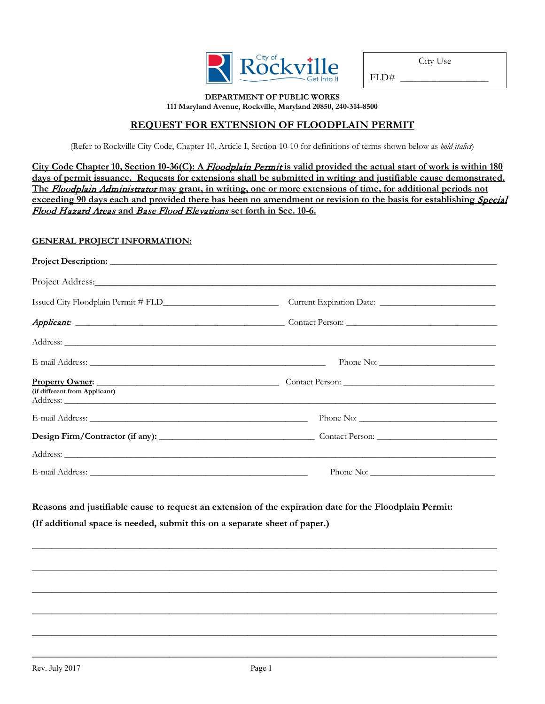

 $FLD#$ 

#### **DEPARTMENT OF PUBLIC WORKS 111 Maryland Avenue, Rockville, Maryland 20850, 240-314-8500**

# **REQUEST FOR EXTENSION OF FLOODPLAIN PERMIT**

(Refer to Rockville City Code, Chapter 10, Article I, Section 10-10 for definitions of terms shown below as *bold italics*)

**City Code Chapter 10, Section 10-36(C): A** Floodplain Permit **is valid provided the actual start of work is within 180 days of permit issuance. Requests for extensions shall be submitted in writing and justifiable cause demonstrated. The** Floodplain Administrator **may grant, in writing, one or more extensions of time, for additional periods not**  exceeding 90 days each and provided there has been no amendment or revision to the basis for establishing *Special* Flood Hazard Areas **and** Base Flood Elevations **set forth in Sec. 10-6.**

## **GENERAL PROJECT INFORMATION:**

| Project Description: New York Contract to the Contract of the Contract of the Contract of the Contract of the Contract of the Contract of the Contract of the Contract of the Contract of the Contract of the Contract of the |                                                                                                         |
|-------------------------------------------------------------------------------------------------------------------------------------------------------------------------------------------------------------------------------|---------------------------------------------------------------------------------------------------------|
|                                                                                                                                                                                                                               |                                                                                                         |
|                                                                                                                                                                                                                               |                                                                                                         |
|                                                                                                                                                                                                                               |                                                                                                         |
|                                                                                                                                                                                                                               |                                                                                                         |
|                                                                                                                                                                                                                               |                                                                                                         |
| (if different from Applicant)                                                                                                                                                                                                 | Property Owner: 2008 Contact Person: 2008 Contact Person:                                               |
|                                                                                                                                                                                                                               |                                                                                                         |
|                                                                                                                                                                                                                               | Design Firm/Contractor (if any): Contact Person:                                                        |
|                                                                                                                                                                                                                               |                                                                                                         |
|                                                                                                                                                                                                                               |                                                                                                         |
|                                                                                                                                                                                                                               | Reasons and justifiable cause to request an extension of the expiration date for the Floodplain Permit: |
| (If additional space is needed, submit this on a separate sheet of paper.)                                                                                                                                                    |                                                                                                         |
|                                                                                                                                                                                                                               |                                                                                                         |
|                                                                                                                                                                                                                               |                                                                                                         |
|                                                                                                                                                                                                                               |                                                                                                         |

**\_\_\_\_\_\_\_\_\_\_\_\_\_\_\_\_\_\_\_\_\_\_\_\_\_\_\_\_\_\_\_\_\_\_\_\_\_\_\_\_\_\_\_\_\_\_\_\_\_\_\_\_\_\_\_\_\_\_\_\_\_\_\_\_\_\_\_\_\_\_\_\_\_\_\_\_\_\_\_\_\_\_\_\_\_\_\_\_\_\_\_\_\_\_\_**

**\_\_\_\_\_\_\_\_\_\_\_\_\_\_\_\_\_\_\_\_\_\_\_\_\_\_\_\_\_\_\_\_\_\_\_\_\_\_\_\_\_\_\_\_\_\_\_\_\_\_\_\_\_\_\_\_\_\_\_\_\_\_\_\_\_\_\_\_\_\_\_\_\_\_\_\_\_\_\_\_\_\_\_\_\_\_\_\_\_\_\_\_\_\_\_**

**\_\_\_\_\_\_\_\_\_\_\_\_\_\_\_\_\_\_\_\_\_\_\_\_\_\_\_\_\_\_\_\_\_\_\_\_\_\_\_\_\_\_\_\_\_\_\_\_\_\_\_\_\_\_\_\_\_\_\_\_\_\_\_\_\_\_\_\_\_\_\_\_\_\_\_\_\_\_\_\_\_\_\_\_\_\_\_\_\_\_\_\_\_\_\_**